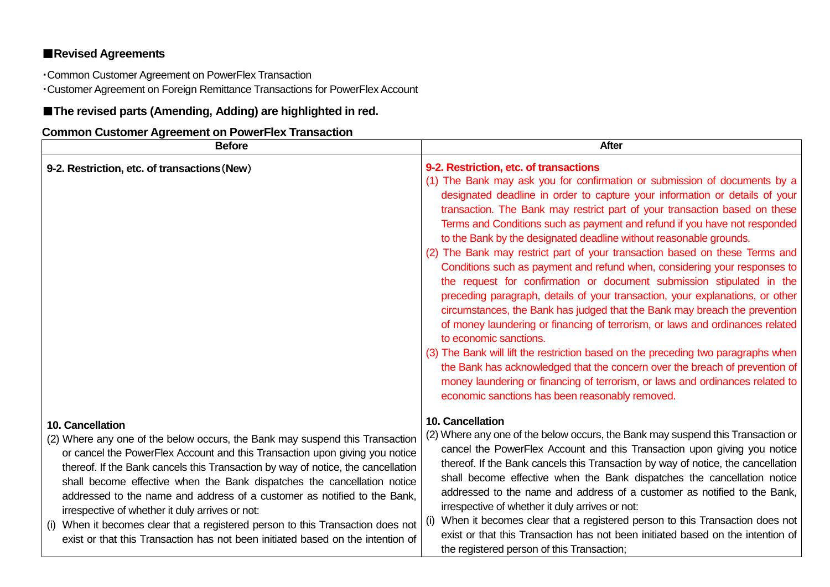## ■**Revised Agreements**

・Common Customer Agreement on PowerFlex Transaction

・Customer Agreement on Foreign Remittance Transactions for PowerFlex Account

## ■**The revised parts (Amending, Adding) are highlighted in red.**

## **Common Customer Agreement on PowerFlex Transaction**

| <b>Before</b>                                                                                                                                                                                                                                                                                                                                                                                                                                                                                                                                                                                                                                          | <b>After</b>                                                                                                                                                                                                                                                                                                                                                                                                                                                                                                                                                                                                                                                                                                                                                                                                                                                                                                                                                                                                                                                                                                                                                                                                                                               |
|--------------------------------------------------------------------------------------------------------------------------------------------------------------------------------------------------------------------------------------------------------------------------------------------------------------------------------------------------------------------------------------------------------------------------------------------------------------------------------------------------------------------------------------------------------------------------------------------------------------------------------------------------------|------------------------------------------------------------------------------------------------------------------------------------------------------------------------------------------------------------------------------------------------------------------------------------------------------------------------------------------------------------------------------------------------------------------------------------------------------------------------------------------------------------------------------------------------------------------------------------------------------------------------------------------------------------------------------------------------------------------------------------------------------------------------------------------------------------------------------------------------------------------------------------------------------------------------------------------------------------------------------------------------------------------------------------------------------------------------------------------------------------------------------------------------------------------------------------------------------------------------------------------------------------|
| 9-2. Restriction, etc. of transactions (New)                                                                                                                                                                                                                                                                                                                                                                                                                                                                                                                                                                                                           | 9-2. Restriction, etc. of transactions<br>(1) The Bank may ask you for confirmation or submission of documents by a<br>designated deadline in order to capture your information or details of your<br>transaction. The Bank may restrict part of your transaction based on these<br>Terms and Conditions such as payment and refund if you have not responded<br>to the Bank by the designated deadline without reasonable grounds.<br>(2) The Bank may restrict part of your transaction based on these Terms and<br>Conditions such as payment and refund when, considering your responses to<br>the request for confirmation or document submission stipulated in the<br>preceding paragraph, details of your transaction, your explanations, or other<br>circumstances, the Bank has judged that the Bank may breach the prevention<br>of money laundering or financing of terrorism, or laws and ordinances related<br>to economic sanctions.<br>(3) The Bank will lift the restriction based on the preceding two paragraphs when<br>the Bank has acknowledged that the concern over the breach of prevention of<br>money laundering or financing of terrorism, or laws and ordinances related to<br>economic sanctions has been reasonably removed. |
| 10. Cancellation<br>(2) Where any one of the below occurs, the Bank may suspend this Transaction<br>or cancel the PowerFlex Account and this Transaction upon giving you notice<br>thereof. If the Bank cancels this Transaction by way of notice, the cancellation<br>shall become effective when the Bank dispatches the cancellation notice<br>addressed to the name and address of a customer as notified to the Bank,<br>irrespective of whether it duly arrives or not:<br>When it becomes clear that a registered person to this Transaction does not<br>(1)<br>exist or that this Transaction has not been initiated based on the intention of | <b>10. Cancellation</b><br>(2) Where any one of the below occurs, the Bank may suspend this Transaction or<br>cancel the PowerFlex Account and this Transaction upon giving you notice<br>thereof. If the Bank cancels this Transaction by way of notice, the cancellation<br>shall become effective when the Bank dispatches the cancellation notice<br>addressed to the name and address of a customer as notified to the Bank,<br>irrespective of whether it duly arrives or not:<br>When it becomes clear that a registered person to this Transaction does not<br>(1)<br>exist or that this Transaction has not been initiated based on the intention of<br>the registered person of this Transaction;                                                                                                                                                                                                                                                                                                                                                                                                                                                                                                                                                |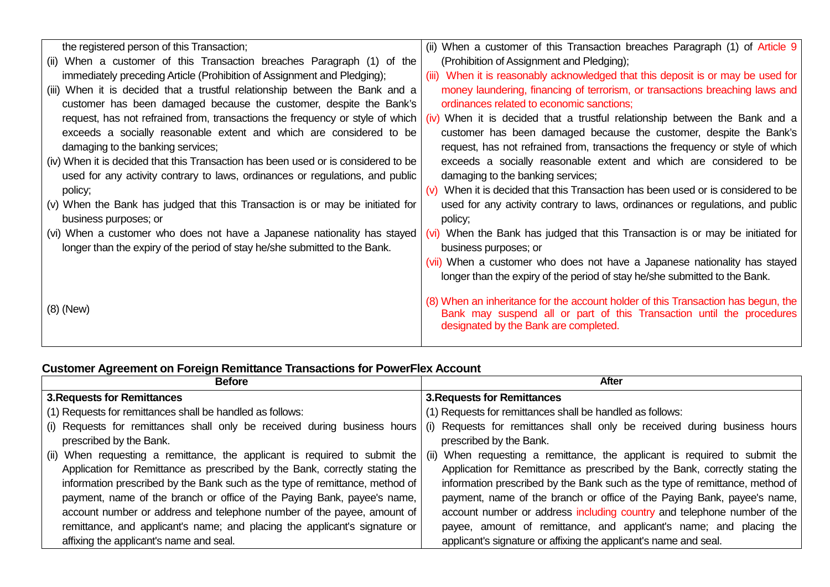| the registered person of this Transaction;                                         | (ii) When a customer of this Transaction breaches Paragraph (1) of Article 9        |
|------------------------------------------------------------------------------------|-------------------------------------------------------------------------------------|
| (ii) When a customer of this Transaction breaches Paragraph (1) of the             | (Prohibition of Assignment and Pledging);                                           |
| immediately preceding Article (Prohibition of Assignment and Pledging);            | (iii) When it is reasonably acknowledged that this deposit is or may be used for    |
| (iii) When it is decided that a trustful relationship between the Bank and a       | money laundering, financing of terrorism, or transactions breaching laws and        |
| customer has been damaged because the customer, despite the Bank's                 | ordinances related to economic sanctions;                                           |
| request, has not refrained from, transactions the frequency or style of which      | (iv) When it is decided that a trustful relationship between the Bank and a         |
| exceeds a socially reasonable extent and which are considered to be                | customer has been damaged because the customer, despite the Bank's                  |
| damaging to the banking services;                                                  | request, has not refrained from, transactions the frequency or style of which       |
| (iv) When it is decided that this Transaction has been used or is considered to be | exceeds a socially reasonable extent and which are considered to be                 |
| used for any activity contrary to laws, ordinances or regulations, and public      | damaging to the banking services;                                                   |
| policy;                                                                            | $(v)$ When it is decided that this Transaction has been used or is considered to be |
| (v) When the Bank has judged that this Transaction is or may be initiated for      | used for any activity contrary to laws, ordinances or regulations, and public       |
| business purposes; or                                                              | policy;                                                                             |
| (vi) When a customer who does not have a Japanese nationality has stayed           | (vi) When the Bank has judged that this Transaction is or may be initiated for      |
| longer than the expiry of the period of stay he/she submitted to the Bank.         | business purposes; or                                                               |
|                                                                                    | (vii) When a customer who does not have a Japanese nationality has stayed           |
|                                                                                    | longer than the expiry of the period of stay he/she submitted to the Bank.          |
|                                                                                    | (8) When an inheritance for the account holder of this Transaction has begun, the   |
| $(8)$ (New)                                                                        | Bank may suspend all or part of this Transaction until the procedures               |
|                                                                                    | designated by the Bank are completed.                                               |
|                                                                                    |                                                                                     |

## **Customer Agreement on Foreign Remittance Transactions for PowerFlex Account**

| <b>Before</b>                                                                | After                                                                        |
|------------------------------------------------------------------------------|------------------------------------------------------------------------------|
| <b>3. Requests for Remittances</b>                                           | <b>3. Requests for Remittances</b>                                           |
| (1) Requests for remittances shall be handled as follows:                    | (1) Requests for remittances shall be handled as follows:                    |
| (i) Requests for remittances shall only be received during business hours    | (i) Requests for remittances shall only be received during business hours    |
| prescribed by the Bank.                                                      | prescribed by the Bank.                                                      |
| (ii) When requesting a remittance, the applicant is required to submit the   | (ii) When requesting a remittance, the applicant is required to submit the   |
| Application for Remittance as prescribed by the Bank, correctly stating the  | Application for Remittance as prescribed by the Bank, correctly stating the  |
| information prescribed by the Bank such as the type of remittance, method of | information prescribed by the Bank such as the type of remittance, method of |
| payment, name of the branch or office of the Paying Bank, payee's name,      | payment, name of the branch or office of the Paying Bank, payee's name,      |
| account number or address and telephone number of the payee, amount of       | account number or address including country and telephone number of the      |
| remittance, and applicant's name; and placing the applicant's signature or   | payee, amount of remittance, and applicant's name; and placing the           |
| affixing the applicant's name and seal.                                      | applicant's signature or affixing the applicant's name and seal.             |